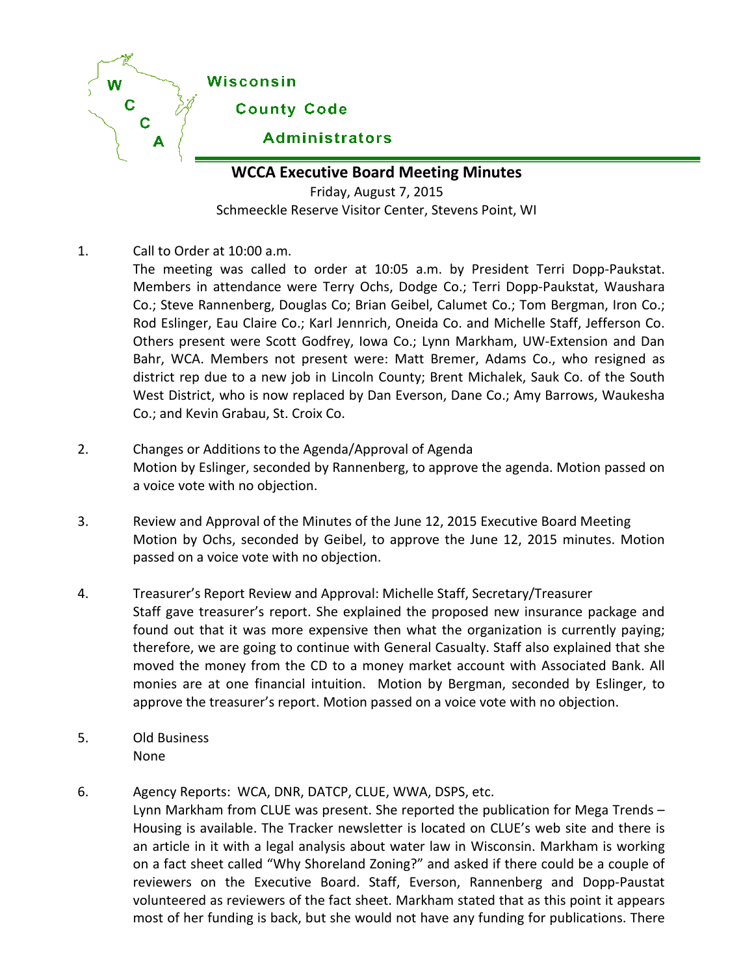

**WCCA Executive Board Meeting Minutes**

Friday, August 7, 2015 Schmeeckle Reserve Visitor Center, Stevens Point, WI

- 1. Call to Order at 10:00 a.m.
	- The meeting was called to order at 10:05 a.m. by President Terri Dopp-Paukstat. Members in attendance were Terry Ochs, Dodge Co.; Terri Dopp-Paukstat, Waushara Co.; Steve Rannenberg, Douglas Co; Brian Geibel, Calumet Co.; Tom Bergman, Iron Co.; Rod Eslinger, Eau Claire Co.; Karl Jennrich, Oneida Co. and Michelle Staff, Jefferson Co. Others present were Scott Godfrey, Iowa Co.; Lynn Markham, UW-Extension and Dan Bahr, WCA. Members not present were: Matt Bremer, Adams Co., who resigned as district rep due to a new job in Lincoln County; Brent Michalek, Sauk Co. of the South West District, who is now replaced by Dan Everson, Dane Co.; Amy Barrows, Waukesha Co.; and Kevin Grabau, St. Croix Co.
- 2. Changes or Additions to the Agenda/Approval of Agenda Motion by Eslinger, seconded by Rannenberg, to approve the agenda. Motion passed on a voice vote with no objection.
- 3. Review and Approval of the Minutes of the June 12, 2015 Executive Board Meeting Motion by Ochs, seconded by Geibel, to approve the June 12, 2015 minutes. Motion passed on a voice vote with no objection.
- 4. Treasurer's Report Review and Approval: Michelle Staff, Secretary/Treasurer Staff gave treasurer's report. She explained the proposed new insurance package and found out that it was more expensive then what the organization is currently paying; therefore, we are going to continue with General Casualty. Staff also explained that she moved the money from the CD to a money market account with Associated Bank. All monies are at one financial intuition. Motion by Bergman, seconded by Eslinger, to approve the treasurer's report. Motion passed on a voice vote with no objection.
- 5. Old Business None
- 6. Agency Reports: WCA, DNR, DATCP, CLUE, WWA, DSPS, etc.

Lynn Markham from CLUE was present. She reported the publication for Mega Trends – Housing is available. The Tracker newsletter is located on CLUE's web site and there is an article in it with a legal analysis about water law in Wisconsin. Markham is working on a fact sheet called "Why Shoreland Zoning?" and asked if there could be a couple of reviewers on the Executive Board. Staff, Everson, Rannenberg and Dopp-Paustat volunteered as reviewers of the fact sheet. Markham stated that as this point it appears most of her funding is back, but she would not have any funding for publications. There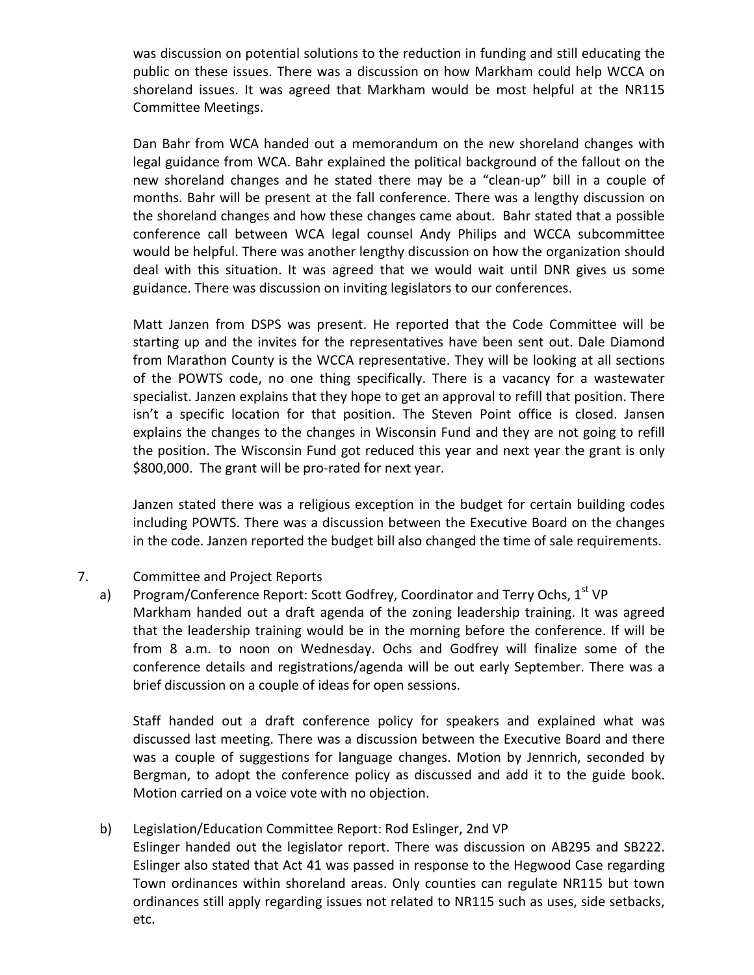was discussion on potential solutions to the reduction in funding and still educating the public on these issues. There was a discussion on how Markham could help WCCA on shoreland issues. It was agreed that Markham would be most helpful at the NR115 Committee Meetings.

Dan Bahr from WCA handed out a memorandum on the new shoreland changes with legal guidance from WCA. Bahr explained the political background of the fallout on the new shoreland changes and he stated there may be a "clean-up" bill in a couple of months. Bahr will be present at the fall conference. There was a lengthy discussion on the shoreland changes and how these changes came about. Bahr stated that a possible conference call between WCA legal counsel Andy Philips and WCCA subcommittee would be helpful. There was another lengthy discussion on how the organization should deal with this situation. It was agreed that we would wait until DNR gives us some guidance. There was discussion on inviting legislators to our conferences.

Matt Janzen from DSPS was present. He reported that the Code Committee will be starting up and the invites for the representatives have been sent out. Dale Diamond from Marathon County is the WCCA representative. They will be looking at all sections of the POWTS code, no one thing specifically. There is a vacancy for a wastewater specialist. Janzen explains that they hope to get an approval to refill that position. There isn't a specific location for that position. The Steven Point office is closed. Jansen explains the changes to the changes in Wisconsin Fund and they are not going to refill the position. The Wisconsin Fund got reduced this year and next year the grant is only \$800,000. The grant will be pro-rated for next year.

Janzen stated there was a religious exception in the budget for certain building codes including POWTS. There was a discussion between the Executive Board on the changes in the code. Janzen reported the budget bill also changed the time of sale requirements.

## 7. Committee and Project Reports

a) Program/Conference Report: Scott Godfrey, Coordinator and Terry Ochs, 1<sup>st</sup> VP Markham handed out a draft agenda of the zoning leadership training. It was agreed that the leadership training would be in the morning before the conference. If will be from 8 a.m. to noon on Wednesday. Ochs and Godfrey will finalize some of the conference details and registrations/agenda will be out early September. There was a brief discussion on a couple of ideas for open sessions.

Staff handed out a draft conference policy for speakers and explained what was discussed last meeting. There was a discussion between the Executive Board and there was a couple of suggestions for language changes. Motion by Jennrich, seconded by Bergman, to adopt the conference policy as discussed and add it to the guide book. Motion carried on a voice vote with no objection.

## b) Legislation/Education Committee Report: Rod Eslinger, 2nd VP

Eslinger handed out the legislator report. There was discussion on AB295 and SB222. Eslinger also stated that Act 41 was passed in response to the Hegwood Case regarding Town ordinances within shoreland areas. Only counties can regulate NR115 but town ordinances still apply regarding issues not related to NR115 such as uses, side setbacks, etc.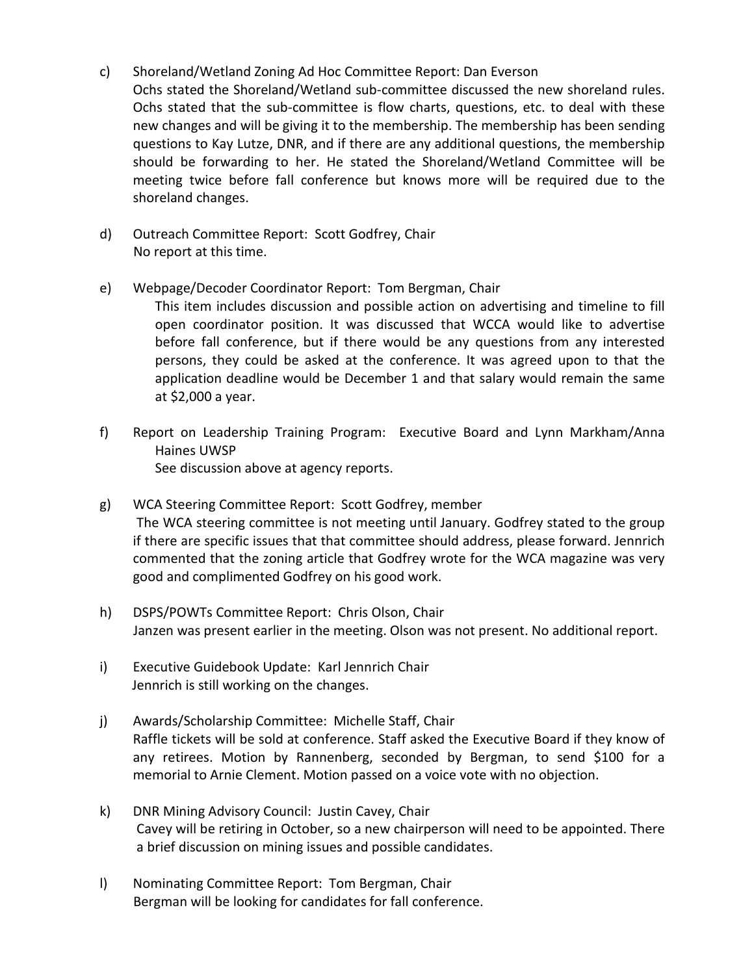- c) Shoreland/Wetland Zoning Ad Hoc Committee Report: Dan Everson Ochs stated the Shoreland/Wetland sub-committee discussed the new shoreland rules. Ochs stated that the sub-committee is flow charts, questions, etc. to deal with these new changes and will be giving it to the membership. The membership has been sending questions to Kay Lutze, DNR, and if there are any additional questions, the membership should be forwarding to her. He stated the Shoreland/Wetland Committee will be meeting twice before fall conference but knows more will be required due to the shoreland changes.
- d) Outreach Committee Report: Scott Godfrey, Chair No report at this time.

at \$2,000 a year.

- e) Webpage/Decoder Coordinator Report: Tom Bergman, Chair This item includes discussion and possible action on advertising and timeline to fill open coordinator position. It was discussed that WCCA would like to advertise before fall conference, but if there would be any questions from any interested persons, they could be asked at the conference. It was agreed upon to that the application deadline would be December 1 and that salary would remain the same
- f) Report on Leadership Training Program: Executive Board and Lynn Markham/Anna Haines UWSP See discussion above at agency reports.
- g) WCA Steering Committee Report: Scott Godfrey, member The WCA steering committee is not meeting until January. Godfrey stated to the group if there are specific issues that that committee should address, please forward. Jennrich commented that the zoning article that Godfrey wrote for the WCA magazine was very good and complimented Godfrey on his good work.
- h) DSPS/POWTs Committee Report: Chris Olson, Chair Janzen was present earlier in the meeting. Olson was not present. No additional report.
- i) Executive Guidebook Update: Karl Jennrich Chair Jennrich is still working on the changes.
- j) Awards/Scholarship Committee: Michelle Staff, Chair Raffle tickets will be sold at conference. Staff asked the Executive Board if they know of any retirees. Motion by Rannenberg, seconded by Bergman, to send \$100 for a memorial to Arnie Clement. Motion passed on a voice vote with no objection.
- k) DNR Mining Advisory Council: Justin Cavey, Chair Cavey will be retiring in October, so a new chairperson will need to be appointed. There a brief discussion on mining issues and possible candidates.
- l) Nominating Committee Report: Tom Bergman, Chair Bergman will be looking for candidates for fall conference.